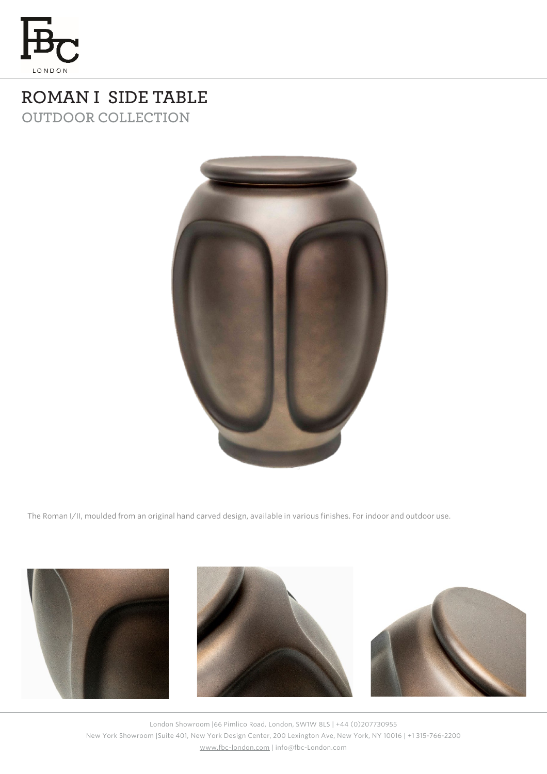

## **ROMAN I SIDE TABLE OUTDOOR COLLECTION**



The Roman I/II, moulded from an original hand carved design, available in various finishes. For indoor and outdoor use.



London Showroom |66 Pimlico Road, London, SW1W 8LS | +44 (0)207730955 New York Showroom |Suite 401, New York Design Center, 200 Lexington Ave, New York, NY 10016 | +1 315-766-2200 [www.fbc-london.com](http://www.fbc-london.com/) | info@fbc-London.com